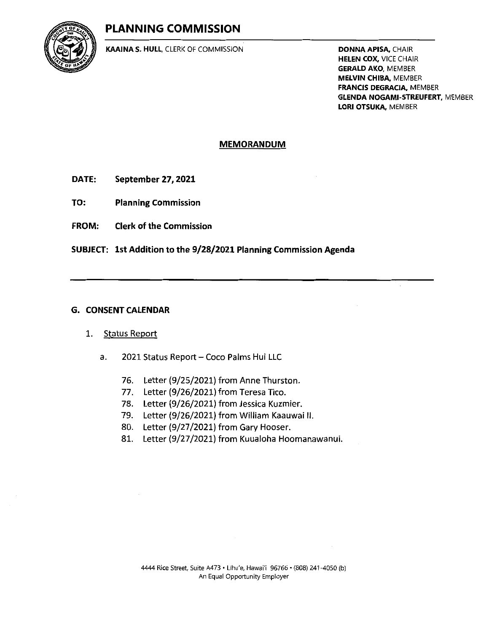# PLANNING COMMISSION



KAAINA S. HULL, CLERK OF COMMISSION DONNA APISA, CHAIR

HELEN COX, VICE CHAIR **GERALD AKO, MEMBER** MELVIN CHIBA, MEMBER FRANCIS DEGRACIA, MEMBER GLENDA NOGAMI-STREUFERT, MEMBER LORI OTSUKA, MEMBER

#### MEMORANDUM

- DATE: September 27, 2021
- TO: Planning Commission
- FROM: Clerk of the Commission

SUBJECT: 1st Addition to the 9/28/2021 Planning Commission Agenda

#### G. CONSENT CALENDAR

#### 1. Status Report

- a. 2021 Status Report Coco Palms Hui LLC
	- 76. Letter (9/25/2021) from Anne Thurston.
	- 77. Letter (9/26/2021) from Teresa Tico.
	- 78. Letter (9/26/2021) from Jessica Kuzmier.
	- 79. Letter (9/26/2021) from William Kaauwai II.
	- 80. Letter (9/27/2021) from Gary Hooser.
	- 81. Letter (9/27/2021) from Kuualoha Hoomanawanui.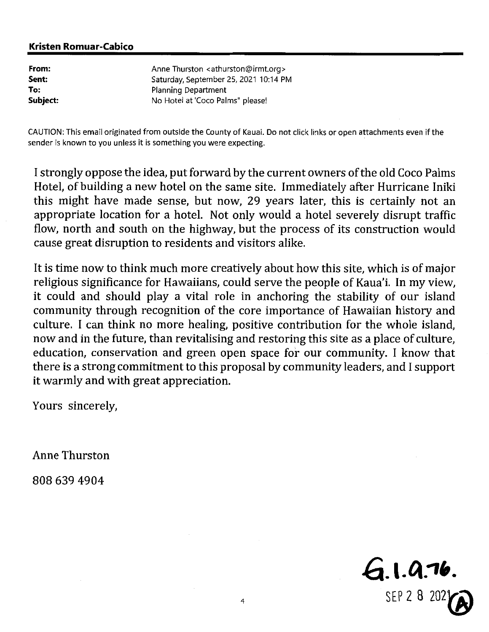| From:    | Anne Thurston <athurston@irmt.org></athurston@irmt.org> |
|----------|---------------------------------------------------------|
| Sent:    | Saturday, September 25, 2021 10:14 PM                   |
| To:      | <b>Planning Department</b>                              |
| Subject: | No Hotel at 'Coco Palms" please!                        |

CAUTION: This email originated from outside the County of Kauai. Do not click links or open attachments even if the sender is known to you unless it is something you were expecting.

I strongly oppose the idea, put forward by the current owners of the old Coco Palms Hotel, of building a new hotel on the same site. Immediately after Hurricane Iniki this might have made sense, but now, 29 years later, this is certainly not an appropriate location for a hotel. Not only would a hotel severely disrupt traffic flow, north and south on the highway, but the process of its construction would cause great disruption to residents and visitors alike.

It is time now to think much more creatively about how this site, which is of major religious significance for Hawaiians, could serve the people of Kaua'i. In my view, it could and should play a vital role in anchoring the stability of our island community through recognition of the core importance of Hawaiian history and culture. <sup>I</sup> can think no more healing, positive contribution for the whole island, now and in the future, than revitalising and restoring this site as a place of culture, education, conservation and green open space for our community. <sup>I</sup> know that there is a strong commitment to this proposal by community leaders, and <sup>I</sup> support it warmly and with great appreciation.

Yours sincerely,

Anne Thurston

8086394904

 $6.1.0.76.$ SEP 2 8 20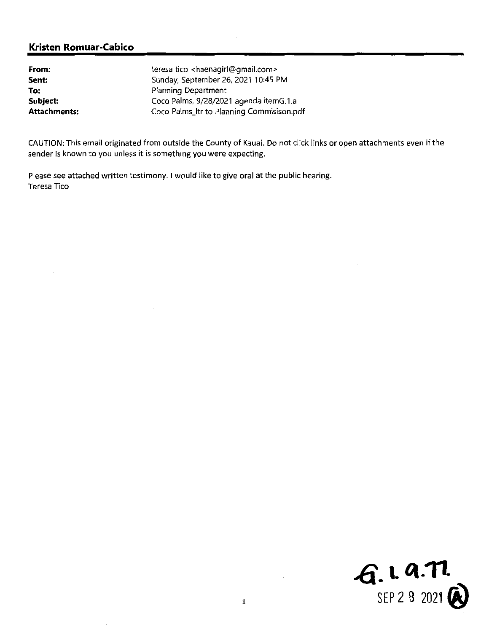| From:        | teresa tico <haenagirl@gmail.com></haenagirl@gmail.com> |
|--------------|---------------------------------------------------------|
| Sent:        | Sunday, September 26, 2021 10:45 PM                     |
| To:          | Planning Department                                     |
| Subject:     | Coco Palms, 9/28/2021 agenda itemG.1.a                  |
| Attachments: | Coco Palms_ltr to Planning Commisison.pdf               |

CAUTION: This email originated from outside the County of Kauai. Do not click links or open attachments even ifthe sender is known to you unless it is something you were expecting.

Please see attached written testimony. <sup>I</sup> would like to give oral at the public hearing. Teresa Tico

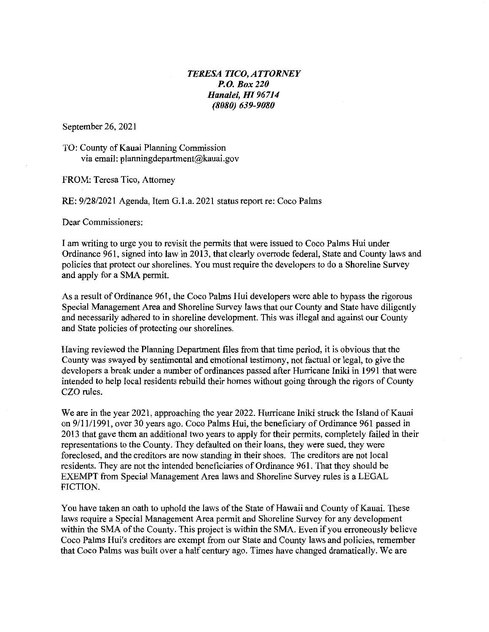#### TEKESA TICO, ATTORNEY P.0. Box 229 Hanalei, HI 96714 (8080) 639-9080

September 26, 2021

TO: County of Kauai Planning Commission via email: planningdepartment@kauai.gov

FROM: Teresa Tico, Attomey

RE: 9/28/2021 Agenda, Item G.l.a. 2021 status report re: Coco Palms

Dear Commissioners:

I am writing to urge you to revisit the permits that were issued to Coco Palms Hui under Ordinance 961, signed into law in 2013, that clearly overrode federal, State and County laws and policies that protect our shorelines. You must require the developers to do a Shoreline Survey and apply for a SMA permit.

As a result of Ordinance 961, the Coco Palms Hui developers were able to bypass the rigorous Special Management Area and Shoreline Survey laws that our County and State have diligently and necessarily adhered to in shoreline development. This was illegal and against our County and State policies of protecting our shorelines.

Having reviewed the Planning Department files from that time period, it is obvious that the County was swayed by sentimental and emotional testimony, not factual or legal, to give the developers a break under a number of ordinances passed after Hurricane Iniki in 1991 that were intended to help local residents rebuild their homes without going through the rigors of County CZO rules.

We are in the year 2021, approaching the year 2022. Hurricane Iniki struck the Island of Kauai on  $9/11/1991$ , over 30 years ago. Coco Palms Hui, the beneficiary of Ordinance 961 passed in 2013 that gave them an additional two years to apply for their permits, completely failed in their representations to the County. They defaulted on their loans, they were sued, they were foreclosed, and the creditors are now standing in their shoes. The creditors are not local residents. They are not the intended beneficiaries of Ordinance 961. That they should be EXEMPT from Special Management Area laws and Shoreline Survey rules is a LEGAL FICTION.

You have taken an oath to uphold the laws of the State of Hawaii and County of Kauai. These laws require a Special Management Area permit and Shoreline Survey for any development within the SMA of the County. This project is within the SMA. Even if you erroneously believe Coco Palms Hui's creditors are exempt from our State and County laws and policies, remember that Coco Palms was built over a half century ago. Times have changed dramatically. We are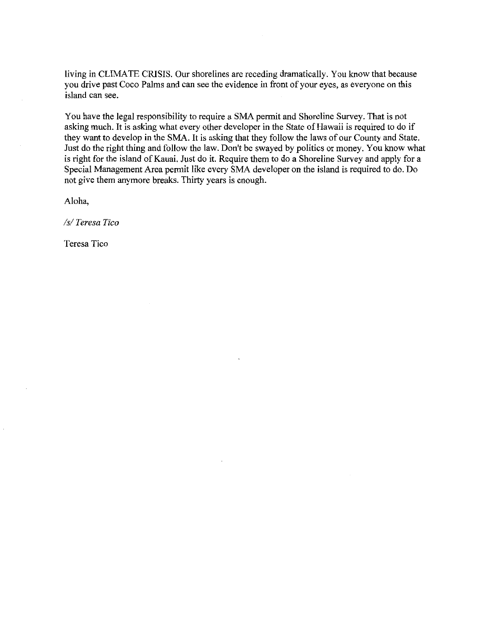living in CLIMATE CRISIS. Our shorelines are receding dramatically. You know that because you drive past Coco Palms and can see the evidence in front of your eyes, as everyone on this island can see.

You have the legal responsibility to require a SMA permit and Shoreline Survey. That is not asking much. It is asking what every other developer in the State of Hawaii is required to do if they want to develop in the SMA. It is asking that they follow the laws of our County and State. Just do the right thing and follow the law. Don't be swayed by politics or money. You know what is right for the island of Kauai. Just do it. Require them to do a Shoreline Survey and apply for a Special Management Area permit like every SMA developer on the island is required to do. Do not give them anymore breaks. Thirty years is enough.

Aloha,

/?/Teresa Tico

Teresa Tico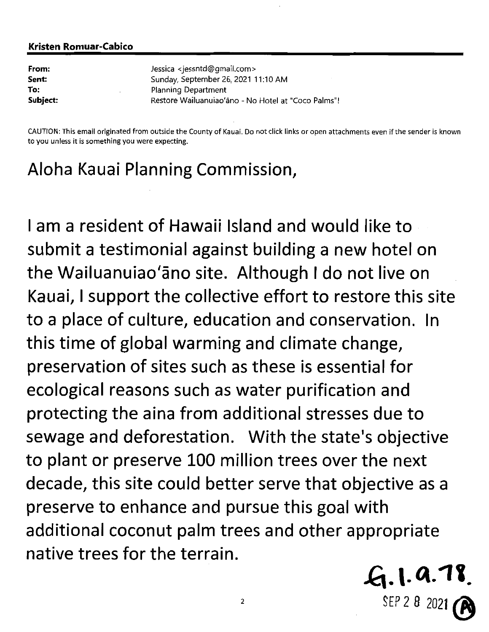| From:    | Jessica <jessntd@gmail.com></jessntd@gmail.com>     |
|----------|-----------------------------------------------------|
| Sent:    | Sunday, September 26, 2021 11:10 AM                 |
| To:      | Planning Department                                 |
| Subject: | Restore Wailuanuiao'āno - No Hotel at "Coco Palms"! |

CAUTION: This email originated from outside the County of Kauai. Do not click links or open attachments even if the sender is known to you unless it is something you were expecting.

# Aloha Kauai Planning Commission,

<sup>1</sup> am <sup>a</sup> resident of Hawaii Island and would like to submit <sup>a</sup> testimonial against building a new hotel on the Wailuanuiao'ano site. Although <sup>1</sup> do not live on Kauai, <sup>1</sup> support the collective effort to restore this site to <sup>a</sup> place of culture, education and conservation. In this time ofglobal warming and climate change, preservation of sites such as these is essential for ecological reasons such as water purification and protecting the aina from additional stresses due to sewage and deforestation. With the state's objective to plant or preserve 100 million trees over the next decade, this site could better serve that objective as <sup>a</sup> preserve to enhance and pursue this goal with additional coconut palm trees and other appropriate native trees for the terrain.

 $\mathcal{L}$ . 1. 9.78 SEP 2 8 20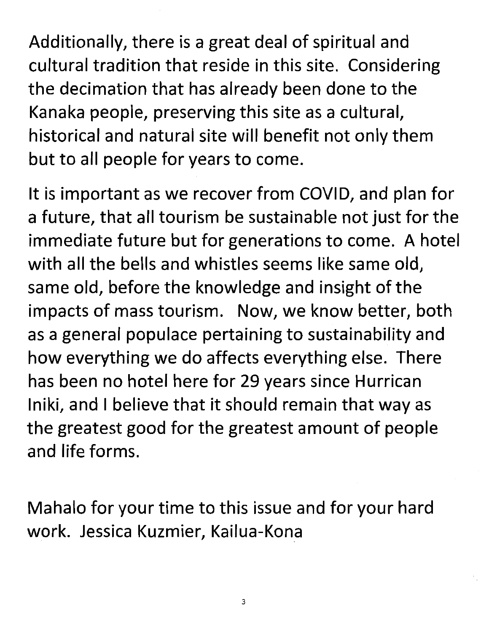Additionally, there is a great deal of spiritual and cultural tradition that reside in this site. Considering the decimation that has already been done to the Kanaka people, preserving this site as <sup>a</sup> cultural, historical and natural site will benefit not only them but to all people for years to come.

It is important as we recover from COVID, and plan for <sup>a</sup> future, that all tourism be sustainable not just for the immediate future but for generations to come. A hotel with all the bells and whistles seems like same old, same old, before the knowledge and insight of the impacts of mass tourism. Now, we know better, both as <sup>a</sup> general populace pertaining to sustainability and how everything we do affects everything else. There has been no hotel here for 29 years since Hurrican Iniki, and <sup>1</sup> believe that it should remain that way as the greatest good for the greatest amount of people and life forms.

Mahalo for your time to this issue and for your hard work. Jessica Kuzmier, Kailua-Kona

3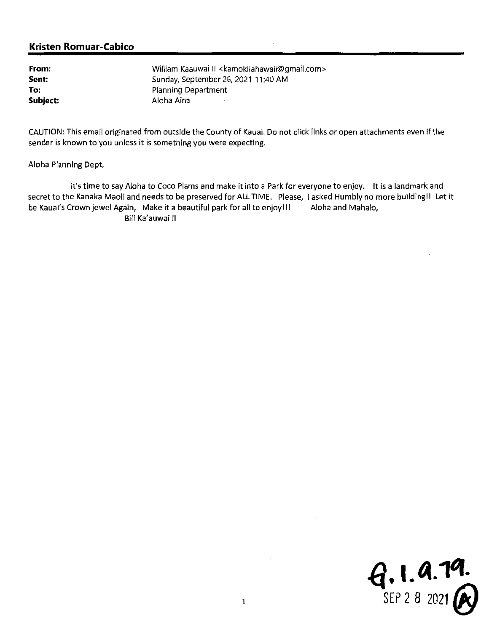From: Sent: To: Subject: William Kaauwai II <kamokilahawaii@gmail.com> Sunday, September 26, 2021 11:40AM Planning Department Aloha Aina

CAUTION: This email originated from outside the County of Kauai. Do not click links or open attachments even if the sender is known to you unless it is something you were expecting.

Aloha Planning Dept,

It's time to say Aloha to Coco Plams and make it into a Park for everyone to enjoy. It is a landmark and secret to the Kanaka Maoli and needs to be preserved for ALL TIME. Please, I asked Humbly no more building!! Let it be Kauai's Crown jewel Again, Make it a beautiful park for all to enjoy!!! Aloha and Mahalo, Bill Ka'auwai II

 $9.1.9.79$ <br>SEP 2 8 2021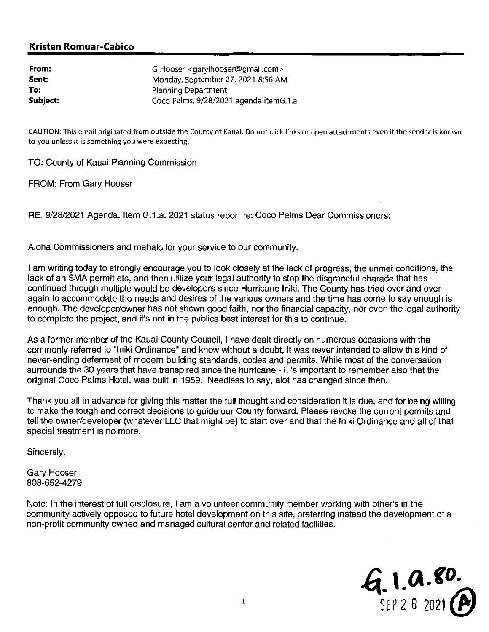| From:    | G Hooser <garylhooser@gmail.com></garylhooser@gmail.com> |
|----------|----------------------------------------------------------|
| Sent:    | Monday, September 27, 2021 8:56 AM                       |
| To:      | <b>Planning Department</b>                               |
| Subject: | Coco Palms, 9/28/2021 agenda itemG.1.a                   |

CAUTION: This email originated from outslde the County of Kauai. Do not click links or open attachments even ifthe sender is known to you unless it is something you were expecting.

TO: County of Kauai Planning Commission

FROM: From Gary Hooser

RE: 9/28/2021 Agenda, Item G.1.a. 2021 status report re: Coco Palms Dear Commissioners:

Aloha Commissioners and mahalo for your service to our community.

<sup>I</sup> am writing today to strongly encourage you to look closely at the lack of progress, the unmet conditions, the lack of an SMA permit etc, and then utilize your legal authority to stop the disgraceful charade that has continued through multiple would be developers since Hurricane Iniki. The County has tried over and over again to accommodate the needs and desires of the various owners and the time has come to say enough is enough. The developer/owner has not shown good faith, nor the financial capacity, nor even the legal authority to complete the project, and it's not in the publics best interest for this to continue.

As a former member of the Kauai County Council, <sup>1</sup> have dealt directly on numerous occasions with the commonly referred to "Iniki Ordinance" and know without <sup>a</sup> doubt, it was never intended to allow this kind of never-ending deferment of modern building standards, codes and permits. While most of the conversation surrounds the <sup>30</sup> years that have transpired since the hurricane - it 's important to remember also that the original Coco Palms Hotel, was built in 1959. Needless to say, alot has changed since then.

Thank you all in advance for giving this matter the full thought and consideration it is due, and for being willing to make the tough and correct decisions to guide our County forward. Please revoke the current permits and tell the owner/developer (whatever LLC that might be) to start over and that the Iniki Ordinance and all of that special treatment is no more.

Sincerely,

Gary Hooser 808-652-4279

Note: In the interest of full disclosure, <sup>1</sup> am a volunteer community member working with other's in the community actively opposed to future hotel development on this site, preferring instead the development of a non-profit community owned and managed cultural center and related facilities.

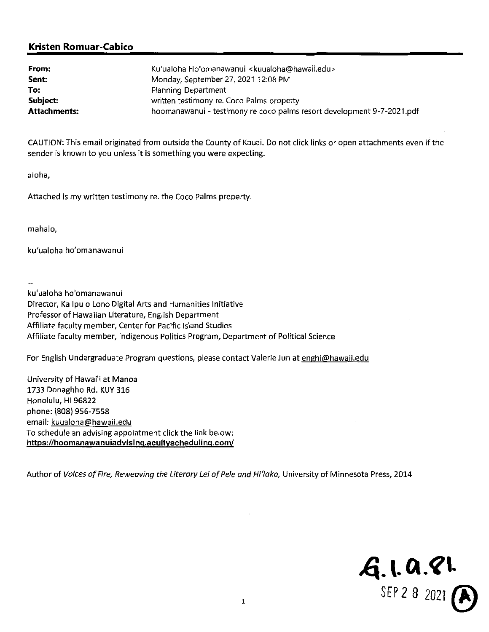| From:               | Ku'ualoha Ho'omanawanui <kuualoha@hawaii.edu></kuualoha@hawaii.edu>    |
|---------------------|------------------------------------------------------------------------|
| Sent:               | Monday, September 27, 2021 12:08 PM                                    |
| To:                 | Planning Department                                                    |
| Subject:            | written testimony re. Coco Palms property                              |
| <b>Attachments:</b> | hoomanawanui - testimony re coco palms resort development 9-7-2021.pdf |

CAUTION: This email originated from outside the Coynty of Kauai. Do not click links or open attachments even ifthe sender is known to you unless it is something you were expecting.

aloha,

Attached is my written testimony re. the Coco Palms property.

mahalo,

ku'ualoha ho'omanawanui

ku'ualoha ho'omanawanui Director, Ka Ipu o Lono Digital Arts and Humanities Initiative Professor of Hawaiian Literature, English Department Affiliate faculty member, Center for Pacific Island Studies Affiliate faculty member, Indigenous Politics Program, Department of Political Science

For English Undergraduate Program questions, please contact Valerie Jun at enghi@hawaii.edu

University of Hawai'i at Manoa 1733 Donaghho Rd. KUY316 Honolulu, Hl 96822 phone: (808) 956-7558 email: kuualoha@hawaii.edu To schedule an advising appointment click the link below: https://hoomanawanuiadvising.acuityscheduling.com/

Author of Voices of Fire, Reweaving the Literary Lei of Pele and Hi'iaka, University of Minnesota Press, 2014

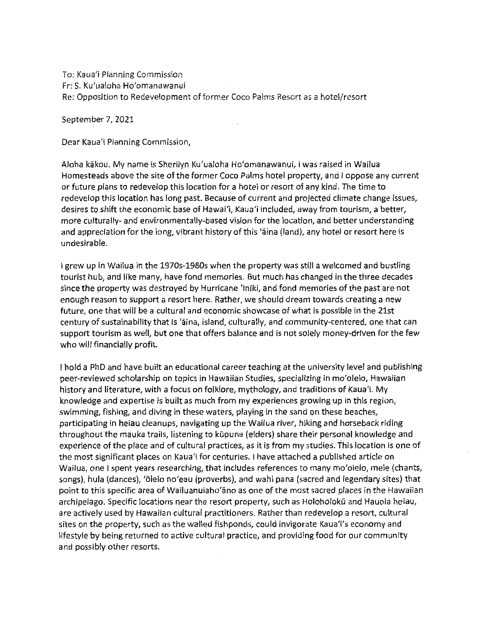To: Kaua'i Planning Commission Fr: S. Ku'ualoha Ho'omanawanui Re: Opposition to Redevelopment of former Coco Palms Resort as a hotel/resort

September 7, 2021

Dear Kaua'i Planning Commission,

Aloha kakou. My name is Sherilyn Ku'ualoha Ho'omanawanui, <sup>1</sup> was raised in Wailua Homesteads above the site of the former Coco Palms hotel property, and I oppose any current or future plans to redevelop this location for <sup>a</sup> hotel or resort of any kind. The time to redevelop this location has long past. Because of current and projected climate change issues, desires to shift the economic base of Hawai'i, Kaua'i included, away from tourism, <sup>a</sup> better, more culturally- and environmentally-based vision for the location, and better understanding and appreciation for the long, vibrant history of this 'aina (land), any hotel or resort here is undesirable.

<sup>1</sup> grew up in Wailua in the 1970s-1980s when the property was still <sup>a</sup> welcomed and bustling tourist hub, and like many, have fond memories. But much has changed in the three decades since the property was destroyed by Hurricane 'lniki, and fond memories ofthe past are not enough reason to support <sup>a</sup> resort here. Rather, we should dream towards creating <sup>a</sup> new future, one that will be a cultural and economic showcase of what is possible in the 21st century of sustainability that is 'aina, island, culturally, and community-centered, one that can support tourism as well, but one that offers balance and is not solely money-driven for the few who will financially profit.

<sup>1</sup> hold <sup>a</sup> PhD and have built an educational career teaching at the university level and publishing peer-reviewed scholarship on topics in Hawaiian Studies, specializing in mo'olelo, Hawaiian history and literature, with a focus on folklore, mythology, and traditions of Kaua'i. My knowledge and expertise is built as much from my experiences growing up in this region, swimming, fishing, and diving in these waters, playing in the sand on these beaches, participating in heiau cleanups, navigating up the Wailua river, hiking and horseback riding throughout the mauka trails, listening to kūpuna (elders) share their personal knowledge and experience of the place and of cultural practices, as it is from my studies. This location is one of the most significant places on Kaua'i for centuries. <sup>1</sup> have attached <sup>a</sup> published article on Wailua, one <sup>1</sup> spent years researching, that includes references to many mo'olelo, mele (chants, songs), hula (dances), 'õlelo no'eau (proverbs), and wahi pana (sacred and legendary sites) that point to this specific area of Wailuanuiaho'ano as one of the most sacred places in the Hawaiian archipelago. Specific locations near the resort property, such as Holoholokū and Hauola heiau, are actively used by Hawaiian cultural practitioners. Rather than redevelop <sup>a</sup> resort, cultural sites on the property, such as the walled fishponds, could invigorate Kaua'i's economy and lifestyle by being returned to active cultural practice, and providing food for our community and possibly other resorts.